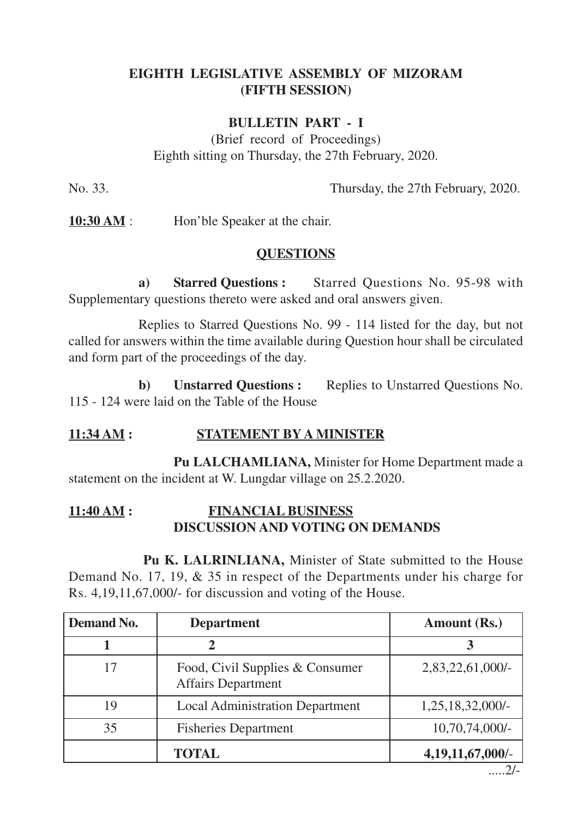## **EIGHTH LEGISLATIVE ASSEMBLY OF MIZORAM (FIFTH SESSION)**

## **BULLETIN PART - I**

(Brief record of Proceedings) Eighth sitting on Thursday, the 27th February, 2020.

No. 33. Thursday, the 27th February, 2020.

**10:30 AM** : Hon'ble Speaker at the chair.

# **QUESTIONS**

**a) Starred Questions :** Starred Questions No. 95-98 with Supplementary questions thereto were asked and oral answers given.

Replies to Starred Questions No. 99 - 114 listed for the day, but not called for answers within the time available during Question hour shall be circulated and form part of the proceedings of the day.

**b) Unstarred Questions :** Replies to Unstarred Questions No. 115 - 124 were laid on the Table of the House

# **11:34 AM : STATEMENT BY A MINISTER**

**Pu LALCHAMLIANA,** Minister for Home Department made a statement on the incident at W. Lungdar village on 25.2.2020.

### **11:40 AM : FINANCIAL BUSINESS DISCUSSION AND VOTING ON DEMANDS**

**Pu K. LALRINLIANA,** Minister of State submitted to the House Demand No. 17, 19, & 35 in respect of the Departments under his charge for Rs. 4,19,11,67,000/- for discussion and voting of the House.

| Demand No. | <b>Department</b>                                            | <b>Amount (Rs.)</b>           |
|------------|--------------------------------------------------------------|-------------------------------|
|            | 2                                                            |                               |
| 17         | Food, Civil Supplies & Consumer<br><b>Affairs Department</b> | 2,83,22,61,000/-              |
| 19         | <b>Local Administration Department</b>                       | 1,25,18,32,000/-              |
| 35         | <b>Fisheries Department</b>                                  | $10,70,74,000/-$              |
|            | <b>TOTAL</b>                                                 | 4,19,11,67,000/-<br>$\bigcap$ |

.....2/-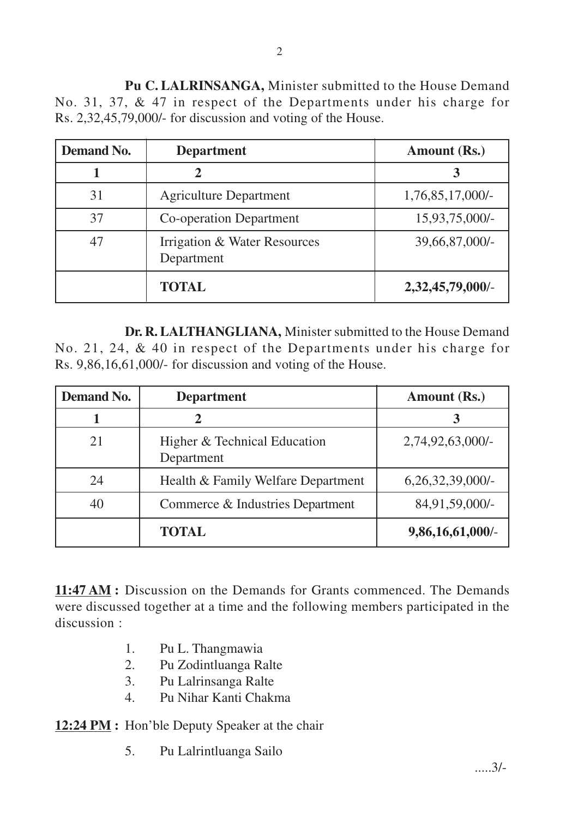**Pu C. LALRINSANGA,** Minister submitted to the House Demand No. 31, 37, & 47 in respect of the Departments under his charge for Rs. 2,32,45,79,000/- for discussion and voting of the House.

| <b>Demand No.</b> | <b>Department</b>                          | Amount (Rs.)        |
|-------------------|--------------------------------------------|---------------------|
|                   |                                            |                     |
| 31                | <b>Agriculture Department</b>              | $1,76,85,17,000/$ - |
| 37                | <b>Co-operation Department</b>             | 15,93,75,000/-      |
| 47                | Irrigation & Water Resources<br>Department | 39,66,87,000/-      |
|                   | <b>TOTAL</b>                               | 2,32,45,79,000/-    |

**Dr. R. LALTHANGLIANA,** Minister submitted to the House Demand No. 21, 24, & 40 in respect of the Departments under his charge for Rs. 9,86,16,61,000/- for discussion and voting of the House.

| <b>Demand No.</b> | <b>Department</b>                          | Amount (Rs.)        |
|-------------------|--------------------------------------------|---------------------|
|                   |                                            | 3                   |
| 21                | Higher & Technical Education<br>Department | 2,74,92,63,000/-    |
| 24                | Health & Family Welfare Department         | $6,26,32,39,000/$ - |
| 40                | Commerce & Industries Department           | 84,91,59,000/-      |
|                   | <b>TOTAL</b>                               | 9,86,16,61,000/-    |

**11:47 AM :** Discussion on the Demands for Grants commenced. The Demands were discussed together at a time and the following members participated in the discussion :

- 1. Pu L. Thangmawia
- 2. Pu Zodintluanga Ralte
- 3. Pu Lalrinsanga Ralte
- 4. Pu Nihar Kanti Chakma

**12:24 PM :** Hon'ble Deputy Speaker at the chair

5. Pu Lalrintluanga Sailo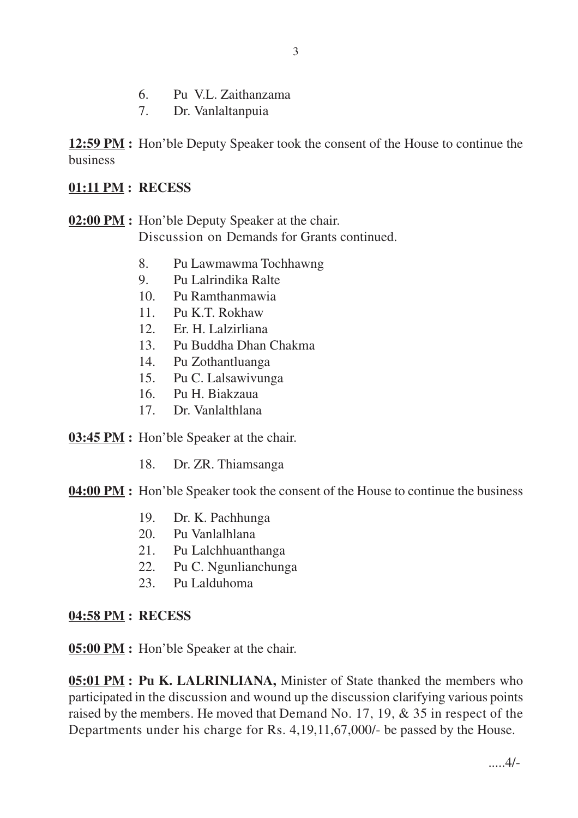- 6. Pu V.L. Zaithanzama
- 7. Dr. Vanlaltanpuia

**12:59 PM :** Hon'ble Deputy Speaker took the consent of the House to continue the business

#### **01:11 PM : RECESS**

**02:00 PM :** Hon'ble Deputy Speaker at the chair. Discussion on Demands for Grants continued.

- 8. Pu Lawmawma Tochhawng
- 9. Pu Lalrindika Ralte
- 10. Pu Ramthanmawia
- 11. Pu K.T. Rokhaw
- 12. Er. H. Lalzirliana
- 13. Pu Buddha Dhan Chakma
- 14. Pu Zothantluanga
- 15. Pu C. Lalsawivunga
- 16. Pu H. Biakzaua
- 17. Dr. Vanlalthlana

**03:45 PM :** Hon'ble Speaker at the chair.

18. Dr. ZR. Thiamsanga

**04:00 PM :** Hon'ble Speaker took the consent of the House to continue the business

- 19. Dr. K. Pachhunga
- 20. Pu Vanlalhlana
- 21. Pu Lalchhuanthanga
- 22. Pu C. Ngunlianchunga
- 23. Pu Lalduhoma

#### **04:58 PM : RECESS**

**05:00 PM :** Hon'ble Speaker at the chair.

**05:01 PM : Pu K. LALRINLIANA,** Minister of State thanked the members who participated in the discussion and wound up the discussion clarifying various points raised by the members. He moved that Demand No. 17, 19, & 35 in respect of the Departments under his charge for Rs. 4,19,11,67,000/- be passed by the House.